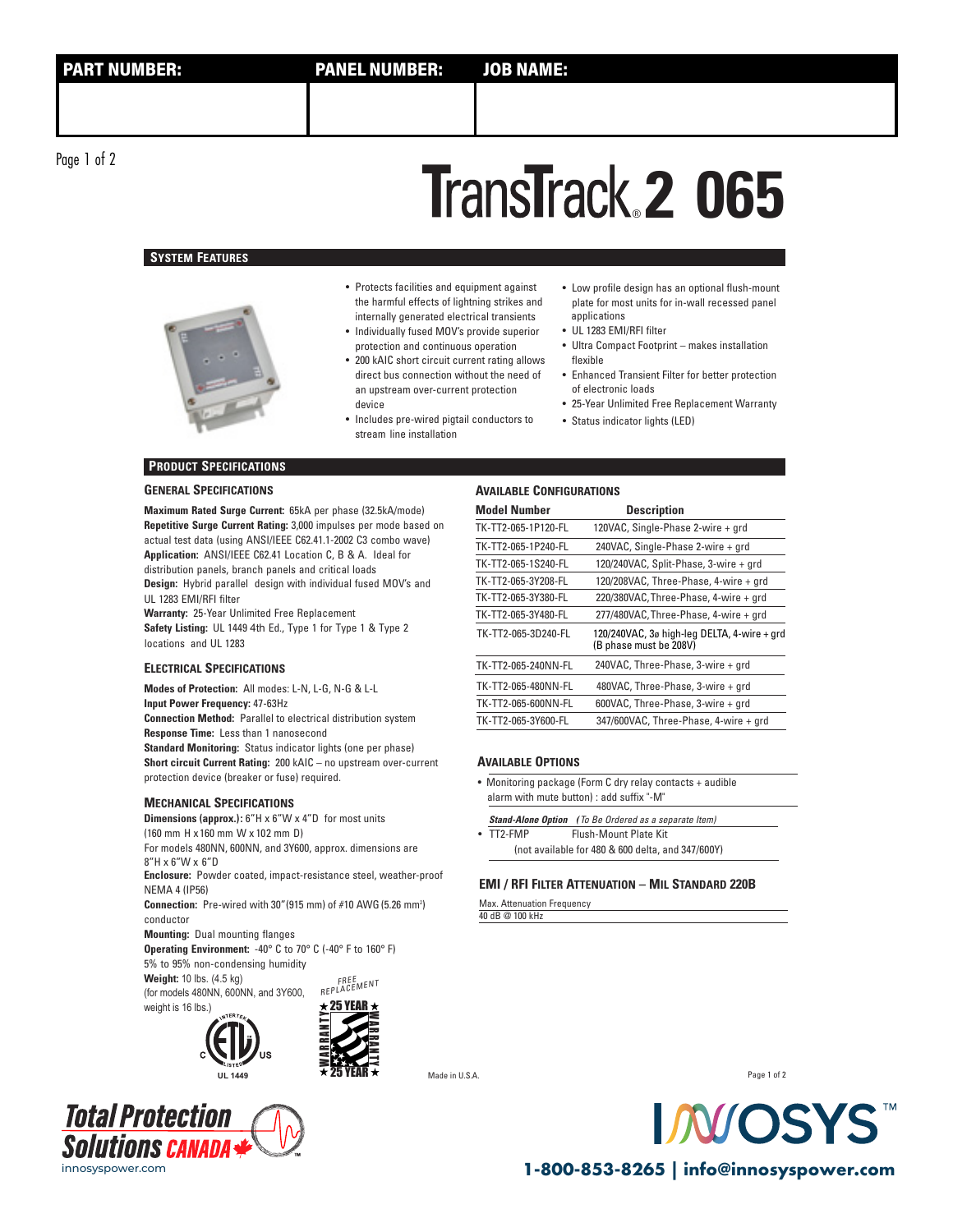# **2 065** ®

# **SYSTEM FEATURES**



- Protects facilities and equipment against the harmful effects of lightning strikes and internally generated electrical transients
- Individually fused MOV's provide superior protection and continuous operation
- 200 kAIC short circuit current rating allows direct bus connection without the need of an upstream over-current protection device
- Includes pre-wired pigtail conductors to Status indicator lights (LED) stream line installation
- Low profile design has an optional flush-mount plate for most units for in-wall recessed panel applications
- UL 1283 EMI/RFI filter
- Ultra Compact Footprint makes installation flexible
- Enhanced Transient Filter for better protection of electronic loads
- 25-Year Unlimited Free Replacement Warranty
	-

# **PRODUCT SPECIFICATIONS**

#### **GENERAL SPECIFICATIONS**

**Maximum Rated Surge Current:** 65kA per phase (32.5kA/mode) **Repetitive Surge Current Rating:** 3,000 impulses per mode based on actual test data (using ANSI/IEEE C62.41.1-2002 C3 combo wave) **Application:** ANSI/IEEE C62.41 Location C, B & A. Ideal for distribution panels, branch panels and critical loads **Design:** Hybrid parallel design with individual fused MOV's and UL 1283 EMI/RFI filter

**Warranty:** 25-Year Unlimited Free Replacement **Safety Listing:** UL 1449 4th Ed., Type 1 for Type 1 & Type 2 locations and UL 1283

#### **ELECTRICAL SPECIFICATIONS**

**Modes of Protection:** All modes: L-N, L-G, N-G & L-L **Input Power Frequency:** 47-63Hz **Connection Method:** Parallel to electrical distribution system **Response Time:** Less than 1 nanosecond **Standard Monitoring:** Status indicator lights (one per phase) **Short circuit Current Rating:** 200 kAIC – no upstream over-current protection device (breaker or fuse) required.

#### **MECHANICAL SPECIFICATIONS**

**Dimensions (approx.):** 6"H x 6"W x 4"D for most units (160 mm H x160 mm W x 102 mm D) **Enclosure:** Powder coated, impact-resistance steel, weather-proof For models 480NN, 600NN, and 3Y600, approx. dimensions are  $8"H \times 6"W \times 6"D$ 

NEMA 4 (IP56) **Connection:** Pre-wired with 30" (915 mm) of #10 AWG (5.26 mm<sup>2</sup>)

conductor

**Mounting:** Dual mounting flanges **Operating Environment:** -40° C to 70° C (-40° F to 160° F) 5% to 95% non-condensing humidity

FREE<br>REPLACEMENT **Weight:** 10 lbs. (4.5 kg) (for models 480NN, 600NN, and 3Y600,





**Total Protection Solutions canal** 

### **AVAILABLE CONFIGURATIONS**

| <b>Model Number</b> | <b>Description</b>                                                    |
|---------------------|-----------------------------------------------------------------------|
| TK-TT2-065-1P120-FL | 120VAC, Single-Phase 2-wire + grd                                     |
| TK-TT2-065-1P240-FL | 240VAC, Single-Phase 2-wire + grd                                     |
| TK-TT2-065-1S240-FL | 120/240VAC, Split-Phase, 3-wire + grd                                 |
| TK-TT2-065-3Y208-FL | 120/208VAC, Three-Phase, 4-wire + grd                                 |
| TK-TT2-065-3Y380-FL | 220/380VAC, Three-Phase, 4-wire + grd                                 |
| TK-TT2-065-3Y480-FL | 277/480VAC, Three-Phase, 4-wire + grd                                 |
| TK-TT2-065-3D240-FL | 120/240VAC, 3ø high-leg DELTA, 4-wire + grd<br>(B phase must be 208V) |
| TK-TT2-065-240NN-FL | 240VAC, Three-Phase, 3-wire + grd                                     |
| TK-TT2-065-480NN-FL | 480VAC, Three-Phase, 3-wire + grd                                     |
| TK-TT2-065-600NN-FL | 600VAC, Three-Phase, 3-wire + grd                                     |
| TK-TT2-065-3Y600-FL | 347/600VAC, Three-Phase, 4-wire + grd                                 |

#### **AVAILABLE OPTIONS**

- Monitoring package (Form C dry relay contacts + audible alarm with mute button) : add suffix "-M"
- **Stand-Alone Option** *(*To Be Ordered as a separate Item) • TT2-FMP Flush-Mount Plate Kit
	- (not available for 480 & 600 delta, and 347/600Y)

## **EMI / RFI FILTER ATTENUATION – MIL STANDARD 220B**

Max. Attenuation Frequency 40 dB @ 100 kHz

Page 1 of 2



innosyspower.com **1-800-853-8265 | info@innosyspower.com**

**UL 1449** Made in U.S.A.